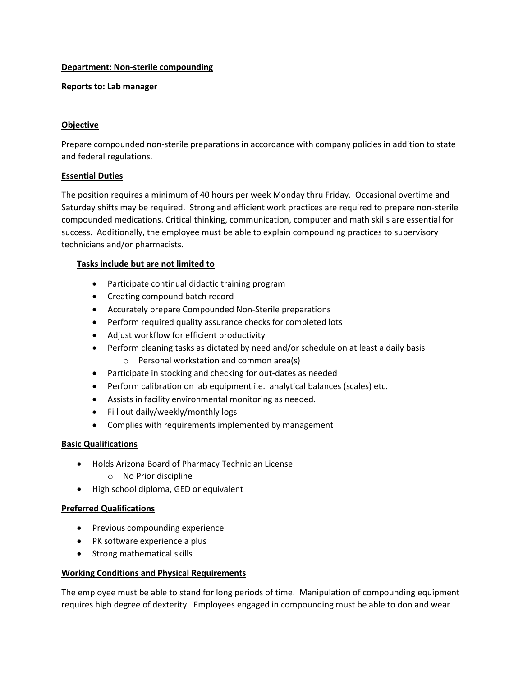#### **Department: Non-sterile compounding**

#### **Reports to: Lab manager**

### **Objective**

Prepare compounded non-sterile preparations in accordance with company policies in addition to state and federal regulations.

### **Essential Duties**

The position requires a minimum of 40 hours per week Monday thru Friday. Occasional overtime and Saturday shifts may be required. Strong and efficient work practices are required to prepare non-sterile compounded medications. Critical thinking, communication, computer and math skills are essential for success. Additionally, the employee must be able to explain compounding practices to supervisory technicians and/or pharmacists.

### **Tasks include but are not limited to**

- Participate continual didactic training program
- Creating compound batch record
- Accurately prepare Compounded Non-Sterile preparations
- Perform required quality assurance checks for completed lots
- Adjust workflow for efficient productivity
- Perform cleaning tasks as dictated by need and/or schedule on at least a daily basis o Personal workstation and common area(s)
- Participate in stocking and checking for out-dates as needed
- Perform calibration on lab equipment i.e. analytical balances (scales) etc.
- Assists in facility environmental monitoring as needed.
- Fill out daily/weekly/monthly logs
- Complies with requirements implemented by management

# **Basic Qualifications**

- Holds Arizona Board of Pharmacy Technician License
	- o No Prior discipline
- High school diploma, GED or equivalent

# **Preferred Qualifications**

- Previous compounding experience
- PK software experience a plus
- Strong mathematical skills

# **Working Conditions and Physical Requirements**

The employee must be able to stand for long periods of time. Manipulation of compounding equipment requires high degree of dexterity. Employees engaged in compounding must be able to don and wear